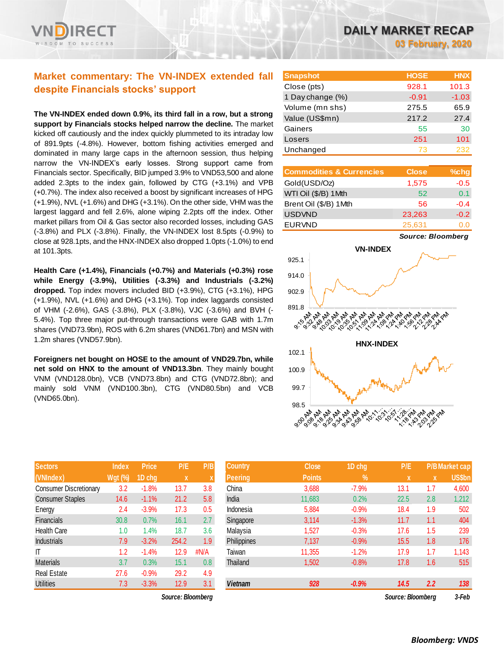# **Market commentary: The VN-INDEX extended fall despite Financials stocks' support**

**The VN-INDEX ended down 0.9%, its third fall in a row, but a strong support by Financials stocks helped narrow the decline.** The market kicked off cautiously and the index quickly plummeted to its intraday low of 891.9pts (-4.8%). However, bottom fishing activities emerged and dominated in many large caps in the afternoon session, thus helping narrow the VN-INDEX's early losses. Strong support came from Financials sector. Specifically, BID jumped 3.9% to VND53,500 and alone added 2.3pts to the index gain, followed by CTG (+3.1%) and VPB (+0.7%). The index also received a boost by significant increases of HPG (+1.9%), NVL (+1.6%) and DHG (+3.1%). On the other side, VHM was the largest laggard and fell 2.6%, alone wiping 2.2pts off the index. Other market pillars from Oil & Gas sector also recorded losses, including GAS (-3.8%) and PLX (-3.8%). Finally, the VN-INDEX lost 8.5pts (-0.9%) to close at 928.1pts, and the HNX-INDEX also dropped 1.0pts (-1.0%) to end at 101.3pts.

**Health Care (+1.4%), Financials (+0.7%) and Materials (+0.3%) rose while Energy (-3.9%), Utilities (-3.3%) and Industrials (-3.2%) dropped.** Top index movers included BID (+3.9%), CTG (+3.1%), HPG (+1.9%), NVL (+1.6%) and DHG (+3.1%). Top index laggards consisted of VHM (-2.6%), GAS (-3.8%), PLX (-3.8%), VJC (-3.6%) and BVH (- 5.4%). Top three major put-through transactions were GAB with 1.7m shares (VND73.9bn), ROS with 6.2m shares (VND61.7bn) and MSN with 1.2m shares (VND57.9bn).

**Foreigners net bought on HOSE to the amount of VND29.7bn, while net sold on HNX to the amount of VND13.3bn**. They mainly bought VNM (VND128.0bn), VCB (VND73.8bn) and CTG (VND72.8bn); and mainly sold VNM (VND100.3bn), CTG (VND80.5bn) and VCB (VND65.0bn).

| <b>Sectors</b>                | <b>Index</b>   | <b>Price</b> | P/E   | P/B                       |
|-------------------------------|----------------|--------------|-------|---------------------------|
| (VNIndex)                     | <b>Wgt (%)</b> | 1D chg       | x     | $\boldsymbol{\mathsf{X}}$ |
| <b>Consumer Discretionary</b> | 3.2            | $-1.8%$      | 13.7  | 3.8                       |
| <b>Consumer Staples</b>       | 14.6           | $-1.1%$      | 21.2  | 5.8                       |
| Energy                        | 2.4            | $-3.9%$      | 17.3  | 0.5                       |
| <b>Financials</b>             | 30.8           | 0.7%         | 16.1  | 2.7                       |
| <b>Health Care</b>            | 1.0            | 1.4%         | 18.7  | 3.6                       |
| Industrials                   | 7.9            | $-3.2%$      | 254.2 | 1.9                       |
| ΙT                            | 1.2            | $-1.4%$      | 12.9  | #N/A                      |
| <b>Materials</b>              | 3.7            | 0.3%         | 15.1  | 0.8                       |
| <b>Real Estate</b>            | 27.6           | $-0.9%$      | 29.2  | 4.9                       |
| <b>Utilities</b>              | 7.3            | $-3.3%$      | 12.9  | 3.1                       |

 $Source: Bloomberg$ 

| <b>Snapshot</b>  | <b>HOSE</b> | <b>HNX</b> |
|------------------|-------------|------------|
| Close (pts)      | 928.1       | 101.3      |
| 1 Day change (%) | $-0.91$     | $-1.03$    |
| Volume (mn shs)  | 275.5       | 65.9       |
| Value (US\$mn)   | 217.2       | 27.4       |
| Gainers          | 55          | 30         |
| Losers           | 251         | 101        |
| Unchanged        | 73          | 232        |

| <b>Commodities &amp; Currencies</b> | <b>Close</b> | %chg    |
|-------------------------------------|--------------|---------|
| Gold(USD/Oz)                        | 1,575        | $-0.5$  |
| WTI Oil (\$/B) 1 Mth                | 52           | 0.1     |
| Brent Oil (\$/B) 1Mth               | 56           | $-0.4$  |
| <b>USDVND</b>                       | 23,263       | $-0.2$  |
| <b>EURVND</b>                       | 25,631       | ( ) ( ) |

*Source: Bloomberg*



| <b>Sectors</b>          | <b>Index</b>   | <b>Price</b> | P/E               | P/B              | <b>Country</b> | <b>Close</b>  | 1D chg        | P/E               |     | <b>P/B Market cap</b> |
|-------------------------|----------------|--------------|-------------------|------------------|----------------|---------------|---------------|-------------------|-----|-----------------------|
| (VNIndex)               | <b>Wgt (%)</b> | 1D cha       | $\mathbf{x}$      |                  | <b>Peering</b> | <b>Points</b> | $\frac{9}{6}$ | $\mathbf{x}$      | X   | US\$bn                |
| Consumer Discretionary  | 3.2            | $-1.8%$      | 13.7              | 3.8              | China          | 3,688         | $-7.9%$       | 13.1              | 1.7 | 4,600                 |
| <b>Consumer Staples</b> | 14.6           | $-1.1%$      | 21.2              | 5.8              | India          | 11,683        | 0.2%          | 22.5              | 2.8 | 1,212                 |
| Energy                  | 2.4            | $-3.9%$      | 17.3              | 0.5              | Indonesia      | 5,884         | $-0.9%$       | 18.4              | 1.9 | 502                   |
| Financials              | 30.8           | 0.7%         | 16.1              | 2.7              | Singapore      | 3,114         | $-1.3%$       | 11.7              | 1.1 | 404                   |
| Health Care             | 1.0            | $1.4\%$      | 18.7              | 3.6              | Malaysia       | 1,527         | $-0.3%$       | 17.6              | 1.5 | 239                   |
| Industrials             | 7.9            | $-3.2%$      | 254.2             | 1.9              | Philippines    | 7,137         | $-0.9%$       | 15.5              | 1.8 | 176                   |
| Τ                       | 1.2            | $-1.4%$      | 12.9              | #N/A             | Taiwan         | 11,355        | $-1.2%$       | 17.9              | 1.7 | 1,143                 |
| Materials               | 3.7            | 0.3%         | 15.1              | 0.8 <sub>0</sub> | Thailand       | 1,502         | $-0.8%$       | 17.8              | 1.6 | 515                   |
| Real Estate             | 27.6           | $-0.9%$      | 29.2              | 4.9              |                |               |               |                   |     |                       |
| Utilities               | 7.3            | $-3.3%$      | 12.9              | 3.1              | <b>Vietnam</b> | 928           | $-0.9%$       | 14.5              | 2.2 | 138                   |
|                         |                |              | Source: Bloomberg |                  |                |               |               | Source: Bloombera |     | 3-Feb                 |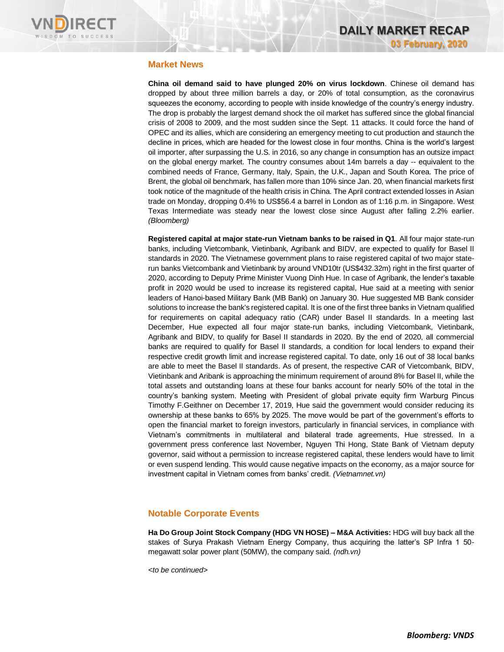

### **Market News**

**China oil demand said to have plunged 20% on virus lockdown**. Chinese oil demand has dropped by about three million barrels a day, or 20% of total consumption, as the coronavirus squeezes the economy, according to people with inside knowledge of the country's energy industry. The drop is probably the largest demand shock the oil market has suffered since the global financial crisis of 2008 to 2009, and the most sudden since the Sept. 11 attacks. It could force the hand of OPEC and its allies, which are considering an emergency meeting to cut production and staunch the decline in prices, which are headed for the lowest close in four months. China is the world's largest oil importer, after surpassing the U.S. in 2016, so any change in consumption has an outsize impact on the global energy market. The country consumes about 14m barrels a day -- equivalent to the combined needs of France, Germany, Italy, Spain, the U.K., Japan and South Korea. The price of Brent, the global oil benchmark, has fallen more than 10% since Jan. 20, when financial markets first took notice of the magnitude of the health crisis in China. The April contract extended losses in Asian trade on Monday, dropping 0.4% to US\$56.4 a barrel in London as of 1:16 p.m. in Singapore. West Texas Intermediate was steady near the lowest close since August after falling 2.2% earlier. *(Bloomberg)*

**Registered capital at major state-run Vietnam banks to be raised in Q1**. All four major state-run banks, including Vietcombank, Vietinbank, Agribank and BIDV, are expected to qualify for Basel II standards in 2020. The Vietnamese government plans to raise registered capital of two major staterun banks Vietcombank and Vietinbank by around VND10tr (US\$432.32m) right in the first quarter of 2020, according to Deputy Prime Minister Vuong Dinh Hue. In case of Agribank, the lender's taxable profit in 2020 would be used to increase its registered capital, Hue said at a meeting with senior leaders of Hanoi-based Military Bank (MB Bank) on January 30. Hue suggested MB Bank consider solutions to increase the bank's registered capital. It is one of the first three banks in Vietnam qualified for requirements on capital adequacy ratio (CAR) under Basel II standards. In a meeting last December, Hue expected all four major state-run banks, including Vietcombank, Vietinbank, Agribank and BIDV, to qualify for Basel II standards in 2020. By the end of 2020, all commercial banks are required to qualify for Basel II standards, a condition for local lenders to expand their respective credit growth limit and increase registered capital. To date, only 16 out of 38 local banks are able to meet the Basel II standards. As of present, the respective CAR of Vietcombank, BIDV, Vietinbank and Aribank is approaching the minimum requirement of around 8% for Basel II, while the total assets and outstanding loans at these four banks account for nearly 50% of the total in the country's banking system. Meeting with President of global private equity firm Warburg Pincus Timothy F.Geithner on December 17, 2019, Hue said the government would consider reducing its ownership at these banks to 65% by 2025. The move would be part of the government's efforts to open the financial market to foreign investors, particularly in financial services, in compliance with Vietnam's commitments in multilateral and bilateral trade agreements, Hue stressed. In a government press conference last November, Nguyen Thi Hong, State Bank of Vietnam deputy governor, said without a permission to increase registered capital, these lenders would have to limit or even suspend lending. This would cause negative impacts on the economy, as a major source for investment capital in Vietnam comes from banks' credit. *(Vietnamnet.vn)*

### **Notable Corporate Events**

**Ha Do Group Joint Stock Company (HDG VN HOSE) – M&A Activities:** HDG will buy back all the stakes of Surya Prakash Vietnam Energy Company, thus acquiring the latter's SP Infra 1 50 megawatt solar power plant (50MW), the company said. *(ndh.vn)*

*<to be continued>*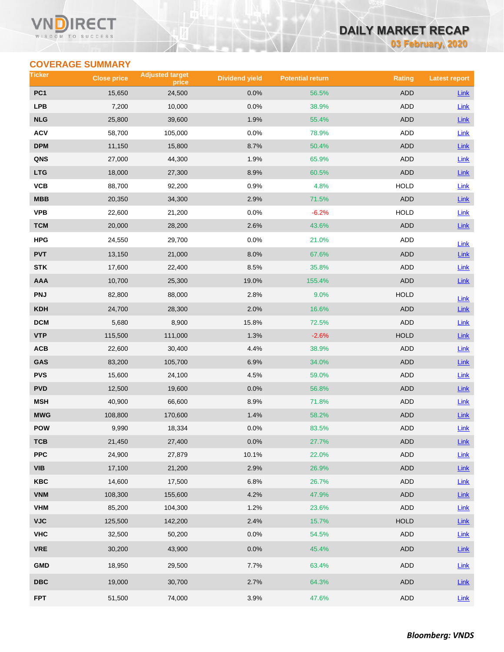### VI RECT WISDOM TO SUCCESS

# **DAILY MARKET RECAP**

**03 February, 2020**

# **COVERAGE SUMMARY**

| Ticker          | <b>Close price</b> | <b>Adjusted target</b><br>price | <b>Dividend yield</b> | <b>Potential return</b> | <b>Rating</b> | <b>Latest report</b> |
|-----------------|--------------------|---------------------------------|-----------------------|-------------------------|---------------|----------------------|
| PC <sub>1</sub> | 15,650             | 24,500                          | 0.0%                  | 56.5%                   | <b>ADD</b>    | Link                 |
| <b>LPB</b>      | 7,200              | 10,000                          | 0.0%                  | 38.9%                   | ADD           | Link                 |
| <b>NLG</b>      | 25,800             | 39,600                          | 1.9%                  | 55.4%                   | <b>ADD</b>    | Link                 |
| <b>ACV</b>      | 58,700             | 105,000                         | 0.0%                  | 78.9%                   | ADD           | Link                 |
| <b>DPM</b>      | 11,150             | 15,800                          | 8.7%                  | 50.4%                   | ADD           | Link                 |
| QNS             | 27,000             | 44,300                          | 1.9%                  | 65.9%                   | ADD           | Link                 |
| <b>LTG</b>      | 18,000             | 27,300                          | 8.9%                  | 60.5%                   | <b>ADD</b>    | Link                 |
| VCB             | 88,700             | 92,200                          | 0.9%                  | 4.8%                    | <b>HOLD</b>   | Link                 |
| <b>MBB</b>      | 20,350             | 34,300                          | 2.9%                  | 71.5%                   | <b>ADD</b>    | Link                 |
| <b>VPB</b>      | 22,600             | 21,200                          | 0.0%                  | $-6.2%$                 | <b>HOLD</b>   | Link                 |
| <b>TCM</b>      | 20,000             | 28,200                          | 2.6%                  | 43.6%                   | ADD           | Link                 |
| HPG             | 24,550             | 29,700                          | 0.0%                  | 21.0%                   | ADD           | Link                 |
| <b>PVT</b>      | 13,150             | 21,000                          | 8.0%                  | 67.6%                   | <b>ADD</b>    | $Link$               |
| <b>STK</b>      | 17,600             | 22,400                          | 8.5%                  | 35.8%                   | ADD           | Link                 |
| <b>AAA</b>      | 10,700             | 25,300                          | 19.0%                 | 155.4%                  | <b>ADD</b>    | $Link$               |
| <b>PNJ</b>      | 82,800             | 88,000                          | 2.8%                  | 9.0%                    | <b>HOLD</b>   | Link                 |
| <b>KDH</b>      | 24,700             | 28,300                          | 2.0%                  | 16.6%                   | <b>ADD</b>    | Link                 |
| <b>DCM</b>      | 5,680              | 8,900                           | 15.8%                 | 72.5%                   | ADD           | Link                 |
| <b>VTP</b>      | 115,500            | 111,000                         | 1.3%                  | $-2.6%$                 | <b>HOLD</b>   | Link                 |
| ACB             | 22,600             | 30,400                          | 4.4%                  | 38.9%                   | ADD           | Link                 |
| GAS             | 83,200             | 105,700                         | 6.9%                  | 34.0%                   | ADD           | <b>Link</b>          |
| <b>PVS</b>      | 15,600             | 24,100                          | 4.5%                  | 59.0%                   | <b>ADD</b>    | Link                 |
| <b>PVD</b>      | 12,500             | 19,600                          | 0.0%                  | 56.8%                   | ADD           | <b>Link</b>          |
| <b>MSH</b>      | 40,900             | 66,600                          | 8.9%                  | 71.8%                   | <b>ADD</b>    | <b>Link</b>          |
| <b>MWG</b>      | 108,800            | 170,600                         | 1.4%                  | 58.2%                   | <b>ADD</b>    | Link                 |
| <b>POW</b>      | 9,990              | 18,334                          | 0.0%                  | 83.5%                   | ADD           | Link                 |
| тсв             | 21,450             | 27,400                          | 0.0%                  | 27.7%                   | ADD           | Link                 |
| <b>PPC</b>      | 24,900             | 27,879                          | 10.1%                 | 22.0%                   | <b>ADD</b>    | Link                 |
| <b>VIB</b>      | 17,100             | 21,200                          | 2.9%                  | 26.9%                   | ADD           | $Link$               |
| KBC             | 14,600             | 17,500                          | 6.8%                  | 26.7%                   | ADD           | Link                 |
| <b>VNM</b>      | 108,300            | 155,600                         | 4.2%                  | 47.9%                   | ADD           | $Link$               |
| <b>VHM</b>      | 85,200             | 104,300                         | 1.2%                  | 23.6%                   | ADD           | Link                 |
| <b>VJC</b>      | 125,500            | 142,200                         | 2.4%                  | 15.7%                   | <b>HOLD</b>   | Link                 |
| <b>VHC</b>      | 32,500             | 50,200                          | 0.0%                  | 54.5%                   | ADD           | Link                 |
| <b>VRE</b>      | 30,200             | 43,900                          | 0.0%                  | 45.4%                   | <b>ADD</b>    | Link                 |
| <b>GMD</b>      | 18,950             | 29,500                          | 7.7%                  | 63.4%                   | ADD           | Link                 |
| <b>DBC</b>      | 19,000             | 30,700                          | 2.7%                  | 64.3%                   | ADD           | Link                 |
| <b>FPT</b>      | 51,500             | 74,000                          | 3.9%                  | 47.6%                   | ADD           | Link                 |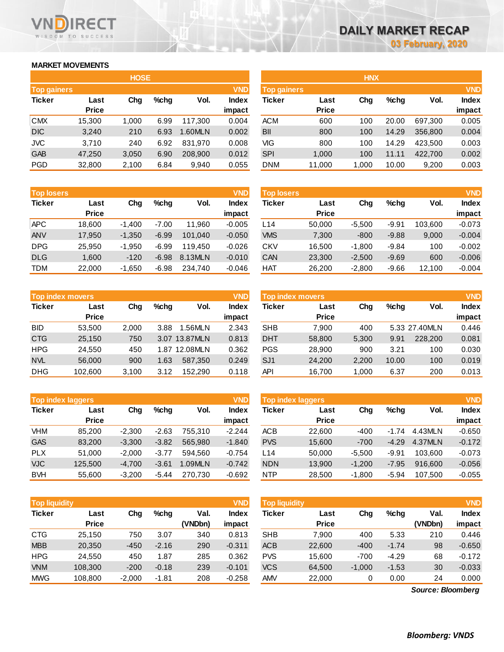# **MARKET MOVEMENTS**

WISDOM TO SUCCESS

ECT

|                    |              | <b>HOSE</b> |         |         |              | <b>HNX</b>         |              |       |         |         |            |
|--------------------|--------------|-------------|---------|---------|--------------|--------------------|--------------|-------|---------|---------|------------|
| <b>Top gainers</b> |              |             |         |         | <b>VND</b>   | <b>Top gainers</b> |              |       |         |         | <b>VND</b> |
| <b>Ticker</b>      | Last         | Chg         | $%$ chg | Vol.    | <b>Index</b> | <b>Ticker</b>      | Last         | Chg   | $%$ chg | Vol.    | Index      |
|                    | <b>Price</b> |             |         |         | impact       |                    | <b>Price</b> |       |         |         | impact     |
| <b>CMX</b>         | 15,300       | 1.000       | 6.99    | 117.300 | 0.004        | <b>ACM</b>         | 600          | 100   | 20.00   | 697.300 | 0.005      |
| <b>DIC</b>         | 3,240        | 210         | 6.93    | .60MLN  | 0.002        | BII                | 800          | 100   | 14.29   | 356,800 | 0.004      |
| <b>JVC</b>         | 3.710        | 240         | 6.92    | 831.970 | 0.008        | VIG                | 800          | 100   | 14.29   | 423.500 | 0.003      |
| <b>GAB</b>         | 47,250       | 3,050       | 6.90    | 208,900 | 0.012        | <b>SPI</b>         | 1,000        | 100   | 11.11   | 422,700 | 0.002      |
| PGD                | 32,800       | 2,100       | 6.84    | 9,940   | 0.055        | <b>DNM</b>         | 11,000       | 1,000 | 10.00   | 9,200   | 0.003      |

| <b>Top losers</b> |              |          |         |         | <b>VND</b>   |
|-------------------|--------------|----------|---------|---------|--------------|
| <b>Ticker</b>     | Last         | Cha      | $%$ chq | Vol.    | <b>Index</b> |
|                   | <b>Price</b> |          |         |         | impact       |
| <b>APC</b>        | 18,600       | $-1,400$ | $-7.00$ | 11,960  | $-0.005$     |
| <b>ANV</b>        | 17,950       | $-1,350$ | $-6.99$ | 101,040 | $-0.050$     |
| <b>DPG</b>        | 25.950       | $-1,950$ | $-6.99$ | 119.450 | $-0.026$     |
| <b>DLG</b>        | 1,600        | $-120$   | $-6.98$ | 8.13MLN | $-0.010$     |
| <b>TDM</b>        | 22,000       | $-1,650$ | $-6.98$ | 234.740 | $-0.046$     |

|               | <b>Top index movers</b> |       |      |               | <b>VND</b>   |
|---------------|-------------------------|-------|------|---------------|--------------|
| <b>Ticker</b> | Last                    | Cha   | %chq | Vol.          | <b>Index</b> |
|               | <b>Price</b>            |       |      |               | impact       |
| <b>BID</b>    | 53,500                  | 2,000 | 3.88 | 1.56MLN       | 2.343        |
| <b>CTG</b>    | 25,150                  | 750   |      | 3.07 13.87MLN | 0.813        |
| <b>HPG</b>    | 24.550                  | 450   |      | 1.87 12.08MLN | 0.362        |
| <b>NVL</b>    | 56,000                  | 900   | 1.63 | 587,350       | 0.249        |
| <b>DHG</b>    | 102,600                 | 3,100 | 3.12 | 152,290       | 0.118        |

| <b>Top index laggers</b> |              |          |         |         | <b>VND</b>   |
|--------------------------|--------------|----------|---------|---------|--------------|
| <b>Ticker</b>            | Last         | Cha      | %chq    | Vol.    | <b>Index</b> |
|                          | <b>Price</b> |          |         |         | impact       |
| <b>VHM</b>               | 85.200       | $-2.300$ | $-2.63$ | 755.310 | $-2.244$     |
| <b>GAS</b>               | 83,200       | $-3,300$ | $-3.82$ | 565,980 | $-1.840$     |
| <b>PLX</b>               | 51,000       | $-2,000$ | $-3.77$ | 594,560 | $-0.754$     |
| <b>VJC</b>               | 125,500      | $-4,700$ | $-3.61$ | 1.09MLN | $-0.742$     |
| <b>BVH</b>               | 55,600       | $-3,200$ | $-5.44$ | 270,730 | $-0.692$     |

| Top liquidity |              |          |         |         | <b>VND</b> | <b>Top liquidity</b> |              |          |         |                   | <b>VND</b>   |
|---------------|--------------|----------|---------|---------|------------|----------------------|--------------|----------|---------|-------------------|--------------|
| Ticker        | Last         | Chg      | $%$ chg | Val.    | Index      | <b>Ticker</b>        | Last         | Chg      | $%$ chg | Val.              | <b>Index</b> |
|               | <b>Price</b> |          |         | (VNDbn) | impact     |                      | <b>Price</b> |          |         | (VNDbn)           | impact       |
| <b>CTG</b>    | 25.150       | 750      | 3.07    | 340     | 0.813      | <b>SHB</b>           | 7.900        | 400      | 5.33    | 210               | 0.446        |
| <b>MBB</b>    | 20,350       | $-450$   | $-2.16$ | 290     | $-0.311$   | <b>ACB</b>           | 22,600       | $-400$   | $-1.74$ | 98                | $-0.650$     |
| <b>HPG</b>    | 24.550       | 450      | .87     | 285     | 0.362      | <b>PVS</b>           | 15.600       | $-700$   | $-4.29$ | 68                | $-0.172$     |
| <b>VNM</b>    | 108,300      | $-200$   | $-0.18$ | 239     | $-0.101$   | <b>VCS</b>           | 64.500       | $-1,000$ | $-1.53$ | 30                | $-0.033$     |
| <b>MWG</b>    | 108,800      | $-2,000$ | $-1.81$ | 208     | $-0.258$   | <b>AMV</b>           | 22,000       | 0        | 0.00    | 24                | 0.000        |
|               |              |          |         |         |            |                      |              |          |         | Source: Bloomberg |              |

*Source: Bloomberg*

|                    | <b>HNX</b>   |       |       |         |              |  |  |  |  |  |  |
|--------------------|--------------|-------|-------|---------|--------------|--|--|--|--|--|--|
| <b>Top gainers</b> |              |       |       |         | <b>VND</b>   |  |  |  |  |  |  |
| <b>Ticker</b>      | Last         | Cha   | %chq  | Vol.    | <b>Index</b> |  |  |  |  |  |  |
|                    | <b>Price</b> |       |       |         | impact       |  |  |  |  |  |  |
| <b>ACM</b>         | 600          | 100   | 20.00 | 697,300 | 0.005        |  |  |  |  |  |  |
| BII                | 800          | 100   | 14.29 | 356,800 | 0.004        |  |  |  |  |  |  |
| VIG                | 800          | 100   | 14.29 | 423.500 | 0.003        |  |  |  |  |  |  |
| <b>SPI</b>         | 1,000        | 100   | 11.11 | 422,700 | 0.002        |  |  |  |  |  |  |
| <b>DNM</b>         | 11,000       | 1,000 | 10.00 | 9,200   | 0.003        |  |  |  |  |  |  |
|                    |              |       |       |         |              |  |  |  |  |  |  |

| <b>Top losers</b> |              |          |         |         | <b>VND</b>   | <b>Top losers</b> |              |          |         |         | <b>VND</b>   |
|-------------------|--------------|----------|---------|---------|--------------|-------------------|--------------|----------|---------|---------|--------------|
| Ticker            | Last         | Chg      | $%$ chg | Vol.    | <b>Index</b> | Ticker            | Last         | Chg      | $%$ chg | Vol.    | <b>Index</b> |
|                   | <b>Price</b> |          |         |         | impact       |                   | <b>Price</b> |          |         |         | impact       |
| APC               | 18.600       | $-1.400$ | $-7.00$ | 11.960  | $-0.005$     | L14               | 50,000       | $-5.500$ | $-9.91$ | 103.600 | $-0.073$     |
| ANV               | 17.950       | $-1.350$ | $-6.99$ | 101.040 | $-0.050$     | <b>VMS</b>        | 7,300        | $-800$   | $-9.88$ | 9,000   | $-0.004$     |
| DPG               | 25.950       | $-1.950$ | $-6.99$ | 119.450 | $-0.026$     | <b>CKV</b>        | 16.500       | $-1.800$ | $-9.84$ | 100     | $-0.002$     |
| <b>DLG</b>        | 1,600        | $-120$   | $-6.98$ | 8.13MLN | $-0.010$     | CAN               | 23,300       | $-2,500$ | $-9.69$ | 600     | $-0.006$     |
| TDM               | 22,000       | $-1,650$ | $-6.98$ | 234,740 | $-0.046$     | <b>HAT</b>        | 26,200       | $-2,800$ | $-9.66$ | 12,100  | $-0.004$     |

|            |                         |       |         |               | <b>VND</b>   |                         |              |       |         |               | <b>VND</b>   |
|------------|-------------------------|-------|---------|---------------|--------------|-------------------------|--------------|-------|---------|---------------|--------------|
|            | <b>Top index movers</b> |       |         |               |              | <b>Top index movers</b> |              |       |         |               |              |
| Ticker     | Last                    | Chg   | $%$ chq | Vol.          | <b>Index</b> | Ticker                  | Last         | Chg   | $%$ chg | Vol.          | <b>Index</b> |
|            | <b>Price</b>            |       |         |               | impact       |                         | <b>Price</b> |       |         |               | impact       |
| BID        | 53.500                  | 2,000 | 3.88    | 1.56MLN       | 2.343        | <b>SHB</b>              | 7.900        | 400   |         | 5.33 27.40MLN | 0.446        |
| <b>CTG</b> | 25,150                  | 750   |         | 3.07 13.87MLN | 0.813        | <b>DHT</b>              | 58,800       | 5,300 | 9.91    | 228,200       | 0.081        |
| HPG        | 24.550                  | 450   |         | 1.87 12.08MLN | 0.362        | <b>PGS</b>              | 28,900       | 900   | 3.21    | 100           | 0.030        |
| <b>NVL</b> | 56,000                  | 900   | 1.63    | 587.350       | 0.249        | SJ <sub>1</sub>         | 24,200       | 2,200 | 10.00   | 100           | 0.019        |
| <b>DHG</b> | 102,600                 | 3,100 | 3.12    | 152.290       | 0.118        | <b>API</b>              | 16,700       | 1,000 | 6.37    | 200           | 0.013        |

|            | <b>Top index laggers</b> |          |         |         | <b>VND</b>             | Top index laggers |                      |          |         |         |                        |
|------------|--------------------------|----------|---------|---------|------------------------|-------------------|----------------------|----------|---------|---------|------------------------|
| Ticker     | Last<br><b>Price</b>     | Cha      | $%$ chq | Vol.    | <b>Index</b><br>impact | Ticker            | Last<br><b>Price</b> | Chg      | $%$ chg | Vol.    | <b>Index</b><br>impact |
| VHM        | 85,200                   | $-2.300$ | $-2.63$ | 755.310 | $-2.244$               | <b>ACB</b>        | 22,600               | -400     | $-1.74$ | 4.43MLN | $-0.650$               |
| <b>GAS</b> | 83.200                   | $-3.300$ | $-3.82$ | 565.980 | $-1.840$               | <b>PVS</b>        | 15,600               | $-700$   | $-4.29$ | 4.37MLN | $-0.172$               |
| PLX        | 51.000                   | $-2.000$ | $-3.77$ | 594.560 | $-0.754$               | L14               | 50,000               | $-5.500$ | $-9.91$ | 103.600 | $-0.073$               |
| <b>VJC</b> | 125.500                  | $-4.700$ | $-3.61$ | 1.09MLN | $-0.742$               | <b>NDN</b>        | 13,900               | $-1.200$ | $-7.95$ | 916,600 | $-0.056$               |
| <b>BVH</b> | 55,600                   | $-3.200$ | $-5.44$ | 270.730 | $-0.692$               | <b>NTP</b>        | 28,500               | $-1,800$ | $-5.94$ | 107.500 | $-0.055$               |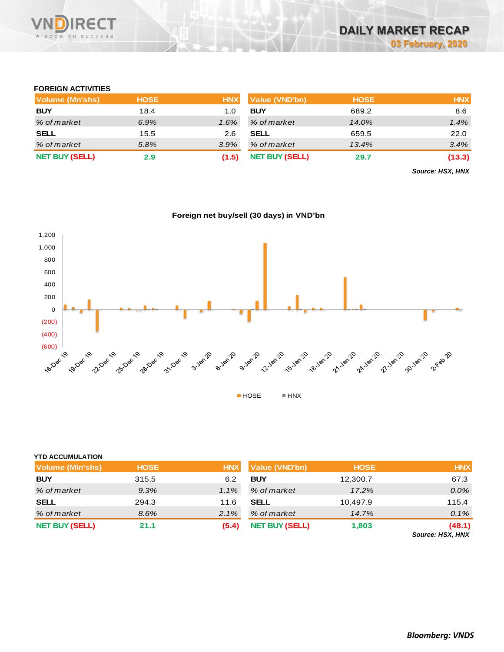

## **FOREIGN ACTIVITIES**

| <b>Volume (Mn'shs)</b> | <b>HOSE</b> | <b>HNX</b> | <b>Value (VND'bn)</b> | <b>HOSE</b> | <b>HNX</b> |
|------------------------|-------------|------------|-----------------------|-------------|------------|
| <b>BUY</b>             | 18.4        | 1.0        | <b>BUY</b>            | 689.2       | 8.6        |
| % of market            | 6.9%        | $1.6\%$    | % of market           | 14.0%       | 1.4%       |
| <b>SELL</b>            | 15.5        | 2.6        | <b>SELL</b>           | 659.5       | 22.0       |
| % of market            | 5.8%        | $3.9\%$    | % of market           | 13.4%       | 3.4%       |
| <b>NET BUY (SELL)</b>  | 2.9         | (1.5)      | <b>NET BUY (SELL)</b> | 29.7        | (13.3)     |

*Source: HSX, HNX*





| <b>YTD ACCUMULATION</b> |             |            |                       |             |                            |
|-------------------------|-------------|------------|-----------------------|-------------|----------------------------|
| <b>Volume (MIn'shs)</b> | <b>HOSE</b> | <b>HNX</b> | <b>Value (VND'bn)</b> | <b>HOSE</b> | <b>HNX</b>                 |
| <b>BUY</b>              | 315.5       | 6.2        | <b>BUY</b>            | 12,300.7    | 67.3                       |
| % of market             | 9.3%        | $1.1\%$    | % of market           | 17.2%       | 0.0%                       |
| <b>SELL</b>             | 294.3       | 11.6       | <b>SELL</b>           | 10.497.9    | 115.4                      |
| % of market             | 8.6%        | 2.1%       | % of market           | 14.7%       | 0.1%                       |
| <b>NET BUY (SELL)</b>   | 21.1        | (5.4)      | <b>NET BUY (SELL)</b> | 1,803       | (48.1)<br>Source: HSX, HNX |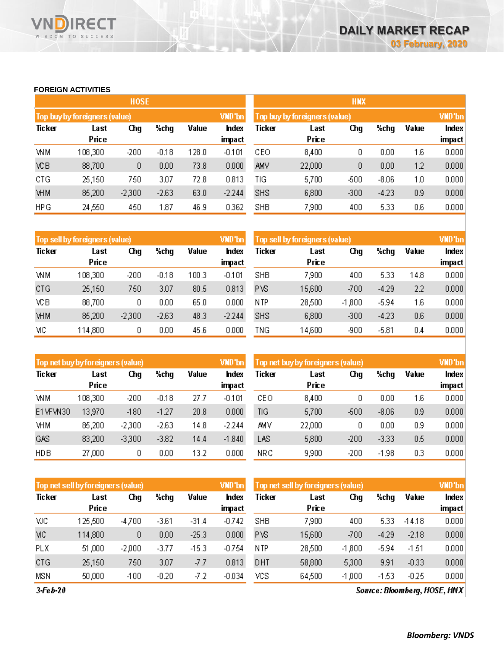# **FOREIGN ACTIVITIES**

WISDOM TO SUCCESS

**VN** 

**RECT** 

|            |                               | <b>HOSE</b> |         |       |                 | <b>HNX</b>                    |               |        |         |       |                 |  |
|------------|-------------------------------|-------------|---------|-------|-----------------|-------------------------------|---------------|--------|---------|-------|-----------------|--|
|            | Top buy by foreigners (value) |             |         |       | VND'bn          | Top buy by foreigners (value) |               |        |         |       |                 |  |
| Ticker     | Last<br>Price                 | Chg         | %chg    | Value | Index<br>impact | Ticker                        | Last<br>Price | Chg    | %chg    | Value | Index<br>impact |  |
| WМ         | 108,300                       | $-200$      | $-0.18$ | 128.0 | $-0.101$        | CEO                           | 8,400         | 0      | 0.00    | 1.6   | 0.000           |  |
| ΧCΒ        | 88,700                        | 0           | 0.00    | 73.8  | 0.000           | AMV                           | 22,000        | 0      | 0.00    | 1.2   | 0.000           |  |
| CTG        | 25,150                        | 750         | 3.07    | 72.8  | 0.813           | TIG                           | 5,700         | -500   | $-8.06$ | 1.0   | 0.000           |  |
| <b>VHM</b> | 85,200                        | $-2,300$    | $-2.63$ | 63.0  | $-2.244$        | <b>SHS</b>                    | 6,800         | $-300$ | $-4.23$ | 0.9   | 0.000           |  |
| <b>HPG</b> | 24,550                        | 450         | 1.87    | 46.9  | 0.362           | <b>SHB</b>                    | 7,900         | 400    | 5.33    | 0.6   | 0.000           |  |

|            | Top sell by foreigners (value) |          |          |       | VND'bn         | Top sell by foreigners (value) | VND'bn        |          |         |       |                 |
|------------|--------------------------------|----------|----------|-------|----------------|--------------------------------|---------------|----------|---------|-------|-----------------|
| Ticker     | Last<br>Price                  | Chg      | %chg     | Value | hdex<br>impact | Ticker                         | Last<br>Price | Chg      | %chg    | Value | Index<br>impact |
| <b>WM</b>  | 108,300                        | $-200$   | $-0.18$  | 100.3 | $-0.101$       | <b>SHB</b>                     | 7,900         | 400      | 5.33    | 14.8  | 0.000           |
|            |                                |          |          |       |                |                                |               |          |         |       |                 |
| CTG        | 25,150                         | 750      | 3.07     | 80.5  | 0.813          | PVS                            | 15,600        | -700     | $-4.29$ | 2.2   | 0.000           |
| ΧCΒ        | 88,700                         | O        | $0.00\,$ | 65.0  | 0.000          | N TP                           | 28,500        | $-1,800$ | $-5.94$ | 1.6   | 0.000           |
| <b>VHM</b> | 85,200                         | $-2,300$ | $-2.63$  | 48.3  | $-2.244$       | <b>SHS</b>                     | 6,800         | -300     | $-4.23$ | 0.6   | 0.000           |
| MC         | 114,800                        | 0        | 0.00     | 45.6  | 0.000          | TNG                            | 14,600        | -900     | $-5.81$ | 0.4   | 0.000           |

|            | Top net buy by foreigners (value) |          |         |       | VND'bn          | Top net buy by foreigners (value) |               |        |         |       | <b>VND</b> 'bn  |
|------------|-----------------------------------|----------|---------|-------|-----------------|-----------------------------------|---------------|--------|---------|-------|-----------------|
| Ticker     | Last<br>Price                     | Chg      | %chg    | Value | Index<br>impact | Ticker                            | Last<br>Price | Chg    | %chg    | Value | Index<br>impact |
| WM         | 108,300                           | $-200$   | $-0.18$ | 27.7  | $-0.101$        | CEO                               | 8,400         | 0      | 0.00    | 1.6   | 0.000           |
| E1VFVN30   | 13,970                            | $-180$   | $-1.27$ | 20.8  | 0.000           | TIG                               | 5,700         | -500   | $-8.06$ | 0.9   | 0.000           |
| <b>VHM</b> | 85,200                            | $-2,300$ | $-2.63$ | 14.8  | -2.244          | AΜV                               | 22,000        | ۵      | 0.00    | 0.9   | 0.000           |
| GAS        | 83,200                            | $-3,300$ | $-3.82$ | 14.4  | $-1.840$        | LAS                               | 5,800         | -200   | $-3.33$ | 0.5   | 0.000           |
| <b>HDB</b> | 27,000                            | 0        | 0.00    | 13.2  | 0.000           | <b>NRC</b>                        | 9,900         | $-200$ | $-1.98$ | 0.3   | 0.000           |

|            | Top net sell by foreigners (value) |          |         |         | VND'bn                 | Top net sell by foreigners (value) |               | VND'bn   |         |          |        |
|------------|------------------------------------|----------|---------|---------|------------------------|------------------------------------|---------------|----------|---------|----------|--------|
| Ticker     | Last<br>Price                      | Chg      | %chg    | Value   | <b>Index</b><br>impact | Ticker                             | Last<br>Price | Chg      | %chg    | Value    | Index  |
|            |                                    |          |         |         |                        |                                    |               |          |         |          | impact |
| мc         | 125,500                            | $-4,700$ | $-3.61$ | $-31.4$ | $-0.742$               | SHB                                | 7,900         | 400      | 5.33    | $-14.18$ | 0.000  |
| MC         | 114,800                            | 0        | 0.00    | $-25.3$ | 0.000                  | PVS                                | 15,600        | $-700$   | $-4.29$ | $-2.18$  | 0.000  |
| <b>PLX</b> | 51,000                             | $-2,000$ | $-3.77$ | $-15.3$ | $-0.754$               | N TP                               | 28,500        | $-1,800$ | $-5.94$ | $-1.51$  | 0.000  |
| CTG        | 25,150                             | 750      | 3.07    | -7.7    | 0.813                  | DHT                                | 58,800        | 5,300    | 9.91    | $-0.33$  | 0.000  |
| MSN        | 50,000                             | $-100$   | $-0.20$ | -7.2    | $-0.034$               | vcs                                | 64,500        | $-1,000$ | $-1.53$ | $-0.25$  | 0.000  |

 $3-Feb-20$ 

Source: Bloomberg, HOSE, HNX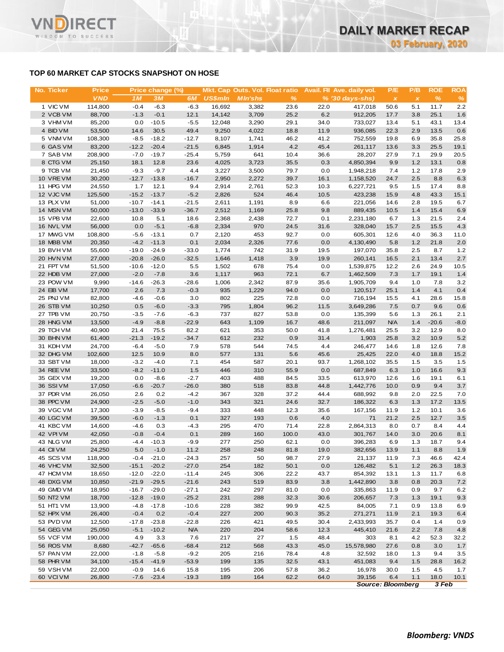# **TOP 60 MARKET CAP STOCKS SNAPSHOT ON HOSE**

**IRECT** 

WISDOM TO SUCCESS

VND

| No. Ticker             | <b>Price</b>     |                    | Price change (%)   |                    |                | Mkt. Cap Outs. Vol. Float ratio |             |             | Avail. Fil Ave. daily vol. | P/E          | P/B          | <b>ROE</b>   | ROA           |
|------------------------|------------------|--------------------|--------------------|--------------------|----------------|---------------------------------|-------------|-------------|----------------------------|--------------|--------------|--------------|---------------|
|                        | <b>VND</b>       | 1M                 | 3M                 | 6M                 | <b>US\$mln</b> | <b>MIn'shs</b>                  | %           |             | $% (30 days-shs)$          | $\pmb{\chi}$ | $\pmb{\chi}$ | $\%$         | $\frac{9}{6}$ |
| 1 VIC VM               | 114,800          | $-0.4$             | $-6.3$             | $-6.3$             | 16,692         | 3,382                           | 23.6        | 22.0        | 417,018                    | 50.6         | 5.1          | 11.7         | 2.2           |
| 2 VCB VM               | 88,700           | $-1.3$             | $-0.1$             | 12.1               | 14,142         | 3,709                           | 25.2        | 6.2         | 912,205                    | 17.7         | 3.8          | 25.1         | 1.6           |
| 3 VHM VM               | 85,200           | 0.0                | $-10.5$            | $-5.5$             | 12,048         | 3,290                           | 29.1        | 34.0        | 733,027                    | 13.4         | 5.1          | 43.1         | 13.4          |
| 4 BID VM               | 53,500           | 14.6               | 30.5               | 49.4               | 9,250          | 4,022                           | 18.8        | 11.9        | 936,085                    | 22.3         | 2.9          | 13.5         | 0.6           |
| 5 VNM VM               | 108,300          | $-8.5$             | $-18.2$            | $-12.7$            | 8,107          | 1,741                           | 46.2        | 41.2        | 752,559                    | 19.8         | 6.9          | 35.8         | 25.8          |
| 6 GAS VM               | 83,200           | $-12.2$            | $-20.4$            | $-21.5$            | 6,845          | 1,914                           | 4.2         | 45.4        | 261,117                    | 13.6         | 3.3          | 25.5         | 19.1          |
| 7 SAB VM               | 208,900          | $-7.0$             | $-19.7$            | $-25.4$            | 5,759          | 641                             | 10.4        | 36.6        | 28,207                     | 27.9         | 7.1          | 29.9         | 20.5          |
| 8 CTG VM               | 25,150           | 18.1               | 12.8               | 23.6               | 4,025          | 3,723                           | 35.5        | 0.3         | 4,850,394                  | 9.9          | 1.2          | 13.1         | 0.8           |
| 9 TCB VM               | 21,450           | $-9.3$             | $-9.7$             | 4.4                | 3,227          | 3,500                           | 79.7        | 0.0         | 1,948,218                  | 7.4          | 1.2          | 17.8         | 2.9           |
| 10 VRE VM              | 30,200           | $-12.7$            | $-13.8$            | $-16.7$            | 2,950          | 2,272                           | 39.7        | 16.1        | 1,158,520                  | 24.7         | 2.5          | 8.8          | 6.3           |
| 11 HPG VM              | 24,550           | 1.7                | 12.1               | 9.4                | 2,914          | 2,761                           | 52.3        | 10.3        | 6,227,721                  | 9.5          | 1.5          | 17.4         | 8.8           |
| 12 VJC VM              | 125,500          | $-15.2$            | $-13.7$<br>$-14.1$ | $-5.2$             | 2,826          | 524                             | 46.4        | 10.5        | 423,238                    | 15.9         | 4.8<br>2.8   | 43.3<br>19.5 | 15.1          |
| 13 PLX VM<br>14 MSN VM | 51,000<br>50,000 | $-10.7$<br>$-13.0$ | $-33.9$            | $-21.5$<br>$-36.7$ | 2,611<br>2,512 | 1,191<br>1,169                  | 8.9<br>25.8 | 6.6<br>9.8  | 221,056<br>889,435         | 14.6<br>10.5 | 1.4          | 15.4         | 6.7<br>6.9    |
| 15 VPB VM              | 22,600           | 10.8               | 5.1                | 18.6               | 2,368          | 2,438                           | 72.7        | 0.1         | 2,231,180                  | 6.7          | 1.3          | 21.5         | 2.4           |
| 16 NVL VM              | 56,000           | 0.0                | $-5.1$             | $-6.8$             | 2,334          | 970                             | 24.5        | 31.6        | 328,040                    | 15.7         | 2.5          | 15.5         | 4.3           |
| 17 MWG VM              | 108,800          | $-5.6$             | $-13.1$            | 0.7                | 2,120          | 453                             | 92.7        | 0.0         | 605,301                    | 12.6         | 4.0          | 36.3         | 11.0          |
| 18 MBB VM              | 20,350           | $-4.2$             | $-11.3$            | 0.1                | 2,034          | 2,326                           | 77.6        | 0.0         | 4,130,490                  | 5.8          | 1.2          | 21.8         | 2.0           |
| 19 BVHVM               | 55,600           | $-19.0$            | $-24.9$            | $-33.0$            | 1,774          | 742                             | 31.9        | 19.5        | 197,070                    | 35.8         | 2.5          | 8.7          | 1.2           |
| 20 HVN VM              | 27,000           | $-20.8$            | $-26.0$            | $-32.5$            | 1,646          | 1,418                           | 3.9         | 19.9        | 260,141                    | 16.5         | 2.1          | 13.4         | 2.7           |
| 21 FPT VM              | 51,500           | $-10.6$            | $-12.0$            | 5.5                | 1,502          | 678                             | 75.4        | 0.0         | 1,539,875                  | 12.2         | 2.6          | 24.9         | 10.5          |
| 22 HDB VM              | 27,000           | $-2.0$             | $-7.8$             | 3.6                | 1,117          | 963                             | 72.1        | 6.7         | 1,462,509                  | 7.3          | 1.7          | 19.1         | 1.4           |
| 23 POW VM              | 9,990            | $-14.6$            | $-26.3$            | $-28.6$            | 1,006          | 2,342                           | 87.9        | 35.6        | 1,905,709                  | 9.4          | 1.0          | 7.8          | 3.2           |
| 24 EIB VM              | 17,700           | 2.6                | 7.3                | $-0.3$             | 935            | 1,229                           | 94.0        | 0.0         | 120,517                    | 25.1         | 1.4          | 4.1          | 0.4           |
| 25 PNJ VM              | 82,800           | $-4.6$             | $-0.6$             | 3.0                | 802            | 225                             | 72.8        | 0.0         | 716,194                    | 15.5         | 4.1          | 28.6         | 15.8          |
| 26 STB VM              | 10,250           | 0.5                | $-6.0$             | $-3.3$             | 795            | 1,804                           | 96.2        | 11.5        | 3,649,286                  | 7.5          | 0.7          | 9.6          | 0.6           |
| 27 TPB VM              | 20,750           | $-3.5$             | $-7.6$             | $-6.3$             | 737            | 827                             | 53.8        | 0.0         | 135,399                    | 5.6          | 1.3          | 26.1         | 2.1           |
| 28 HNG VM              | 13,500           | $-4.9$             | $-8.8$             | $-22.9$            | 643            | 1,109                           | 16.7        | 48.6        | 211,097                    | <b>N/A</b>   | 1.4          | $-20.6$      | $-8.0$        |
| 29 TCH VM              | 40,900           | 21.4               | 75.5               | 82.2               | 621            | 353                             | 50.0        | 41.8        | 1,276,481                  | 25.5         | 3.2          | 12.9         | 8.0           |
| 30 BHN VM              | 61,400           | $-21.3$            | $-19.2$            | $-34.7$            | 612            | 232                             | 0.9         | 31.4        | 1,903                      | 25.8         | 3.2          | 10.9         | 5.2           |
| 31 KDH VM              | 24,700           | $-6.4$             | $-5.0$             | 7.9                | 578            | 544                             | 74.5        | 4.4         | 246,477                    | 14.6         | 1.8          | 12.6         | 7.8           |
| 32 DHG VM              | 102,600          | 12.5               | 10.9               | 8.0                | 577            | 131                             | 5.6         | 45.6        | 25,425                     | 22.0         | 4.0          | 18.8         | 15.2          |
| 33 SBT VM              | 18,000           | $-3.2$             | $-4.0$             | 7.1                | 454            | 587                             | 20.1        | 93.7        | 1,268,102                  | 35.5         | 1.5          | 3.5          | 1.5           |
| 34 REE VM              | 33,500           | $-8.2$             | $-11.0$            | 1.5                | 446            | 310                             | 55.9        | 0.0         | 687,849                    | 6.3          | 1.0          | 16.6         | 9.3           |
| 35 GEX VM              | 19,200           | 0.0                | $-8.6$             | $-2.7$             | 403            | 488                             | 84.5        | 33.5        | 613,970                    | 12.6         | 1.6          | 19.1         | 6.1           |
| 36 SSIVM               | 17,050           | $-6.6$             | $-20.7$            | $-26.0$            | 380            | 518                             | 83.8        | 44.8        | 1,442,776                  | 10.0         | 0.9          | 9.4          | 3.7           |
| 37 PDR VM              | 26,050           | 2.6                | 0.2                | $-4.2$             | 367            | 328                             | 37.2        | 44.4        | 688,992                    | 9.8          | 2.0          | 22.5         | 7.0           |
| 38 PPC VM              | 24,900           | $-2.5$             | $-5.0$             | $-1.0$             | 343            | 321                             | 24.6        | 32.7        | 186,322                    | 6.3          | 1.3          | 17.2         | 13.5          |
| 39 VGC VM              | 17,300           | $-3.9$             | $-8.5$             | $-9.4$             | 333<br>327     | 448<br>193                      | 12.3<br>0.6 | 35.6        | 167,156                    | 11.9<br>21.2 | $1.2$<br>2.5 | 10.1<br>12.7 | 3.6           |
| 40 LGC VM<br>41 KBC VM | 39,500<br>14,600 | $-6.0$<br>$-4.6$   | $-1.3$<br>0.3      | 0.1<br>$-4.3$      | 295            | 470                             | 71.4        | 4.0<br>22.8 | 71<br>2,864,313            | 8.0          | 0.7          | 8.4          | 3.5<br>4.4    |
| 42 VPIVM               | 42,050           | $-0.8$             | $-0.4$             | 0.1                | 289            | 160                             | 100.0       | 43.0        | 301,767                    | 14.0         | 3.0          | 20.6         | 8.1           |
| 43 NLG VM              | 25,800           | $-4.4$             | $-10.3$            | $-9.9$             | 277            | 250                             | 62.1        | 0.0         | 396,283                    | 6.9          | 1.3          | 18.7         | 9.4           |
| 44 CII VM              | 24,250           | 5.0                | $-1.0$             | 11.2               | 258            | 248                             | 81.8        | 19.0        | 382,656                    | 13.9         | 1.1          | 8.8          | 1.9           |
| 45 SCS VM              | 118,900          | $-0.4$             | $-21.0$            | $-24.3$            | 257            | 50                              | 98.7        | 27.9        | 21,137                     | 11.9         | 7.3          | 46.6         | 42.4          |
| 46 VHC VM              | 32,500           | $-15.1$            | $-20.2$            | $-27.0$            | 254            | 182                             | 50.1        | 0.0         | 126,482                    | 5.1          | 1.2          | 26.3         | 18.3          |
| 47 HCM VM              | 18,650           | $-12.0$            | $-22.0$            | $-11.4$            | 245            | 306                             | 22.2        | 43.7        | 854,392                    | 13.1         | 1.3          | 11.7         | 6.8           |
| 48 DXG VM              | 10,850           | $-21.9$            | $-29.5$            | $-21.6$            | 243            | 519                             | 83.9        | 3.8         | 1,442,890                  | 3.8          | 0.8          | 20.3         | 7.2           |
| 49 GMD VM              | 18,950           | $-16.7$            | $-29.0$            | $-27.1$            | 242            | 297                             | 81.0        | 0.0         | 335,863                    | 11.9         | 0.9          | 9.7          | 6.2           |
| 50 NT2 VM              | 18,700           | $-12.8$            | $-19.0$            | $-25.2$            | 231            | 288                             | 32.3        | 30.6        | 206,657                    | 7.3          | 1.3          | 19.1         | 9.3           |
| 51 HT1 VM              | 13,900           | $-4.8$             | $-17.8$            | $-10.6$            | 228            | 382                             | 99.9        | 42.5        | 84,005                     | 7.1          | 0.9          | 13.8         | 6.9           |
| 52 HPX VM              | 26,400           | $-0.4$             | 0.2                | $-0.4$             | 227            | 200                             | 90.3        | 35.2        | 271,271                    | 11.9         | 2.1          | 19.3         | 6.4           |
| 53 PVD VM              | 12,500           | $-17.8$            | $-23.8$            | $-22.8$            | 226            | 421                             | 49.5        | 30.4        | 2,433,993                  | 35.7         | 0.4          | 1.4          | 0.9           |
| 54 GEG VM              | 25,050           | $-5.1$             | $-10.2$            | <b>N/A</b>         | 220            | 204                             | 58.6        | 12.3        | 445,410                    | 21.6         | 2.2          | 7.8          | 4.8           |
| 55 VCF VM              | 190,000          | 4.9                | 3.3                | 7.6                | 217            | 27                              | 1.5         | 48.4        | 303                        | 8.1          | 4.2          | 52.3         | 32.2          |
| 56 ROS VM              | 8,680            | $-42.7$            | $-65.6$            | $-68.4$            | 212            | 568                             | 43.3        | 45.0        | 15,578,980                 | 27.6         | 0.8          | 3.0          | 1.7           |
| 57 PAN VM              | 22,000           | $-1.8$             | $-5.8$             | $-9.2$             | 205            | 216                             | 78.4        | 4.8         | 32,592                     | 18.0         | 1.3          | 9.4          | 3.5           |
| 58 PHR VM              | 34,100           | $-15.4$            | $-41.9$            | $-53.9$            | 199            | 135                             | 32.5        | 43.1        | 451,083                    | 9.4          | 1.5          | 28.8         | 16.2          |
| 59 VSHVM               | 22,000           | $-0.9$             | 14.6               | 15.8               | 195            | 206                             | 57.8        | 36.2        | 16,978                     | 30.0         | 1.5          | 4.5          | 1.7           |
| 60 VCI VM              | 26,800           | $-7.6$             | $-23.4$            | $-19.3$            | 189            | 164                             | 62.2        | 64.0        | 39,156                     | 6.4          | 1.1          | 18.0         | 10.1          |